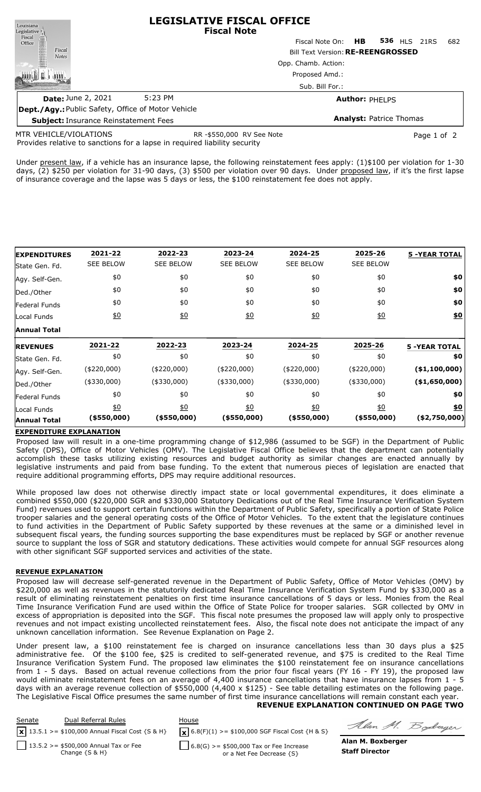| Louisiana                                                                                                   |         | <b>LEGISLATIVE FISCAL OFFICE</b><br><b>Fiscal Note</b> |                                          |     |
|-------------------------------------------------------------------------------------------------------------|---------|--------------------------------------------------------|------------------------------------------|-----|
| $\begin{tabular}{c} \bf \textit{Legislative} \\ \bf \textit{Fical} \\ \bf \textit{Office} \\ \end{tabular}$ |         | Fiscal Note On: <b>HB</b>                              | <b>536 HLS 21RS</b>                      | 682 |
| Fiscal<br><b>Notes</b>                                                                                      |         |                                                        | <b>Bill Text Version: RE-REENGROSSED</b> |     |
|                                                                                                             |         | Opp. Chamb. Action:                                    |                                          |     |
|                                                                                                             |         | Proposed Amd.:                                         |                                          |     |
|                                                                                                             |         | Sub. Bill For.:                                        |                                          |     |
| <b>Date: June 2, 2021</b>                                                                                   | 5:23 PM |                                                        | <b>Author: PHELPS</b>                    |     |
| <b>Dept./Agy.: Public Safety, Office of Motor Vehicle</b>                                                   |         |                                                        |                                          |     |

**Subject:** Insurance Reinstatement Fees

MTR VEHICLE/VIOLATIONS

RR -\$550,000 RV See Note **Page 1 of 2** Page 1 of 2

**Analyst:** Patrice Thomas

Provides relative to sanctions for a lapse in required liability security

Under present law, if a vehicle has an insurance lapse, the following reinstatement fees apply: (1)\$100 per violation for 1-30 days, (2) \$250 per violation for 31-90 days, (3) \$500 per violation over 90 days. Under proposed law, if it's the first lapse of insurance coverage and the lapse was 5 days or less, the \$100 reinstatement fee does not apply.

| <b>EXPENDITURES</b> | 2021-22          | 2022-23          | 2023-24          | 2024-25          | 2025-26           | <b>5 -YEAR TOTAL</b> |
|---------------------|------------------|------------------|------------------|------------------|-------------------|----------------------|
| State Gen. Fd.      | <b>SEE BELOW</b> | <b>SEE BELOW</b> | <b>SEE BELOW</b> | <b>SEE BELOW</b> | <b>SEE BELOW</b>  |                      |
| Agy. Self-Gen.      | \$0              | \$0              | \$0              | \$0              | \$0               | \$0                  |
| Ded./Other          | \$0              | \$0              | \$0              | \$0              | \$0               | \$0                  |
| Federal Funds       | \$0              | \$0              | \$0              | \$0              | \$0               | \$0                  |
| Local Funds         | $\underline{50}$ | 60               | 60               | 60               | 60                | <u>\$0</u>           |
| <b>Annual Total</b> |                  |                  |                  |                  |                   |                      |
| <b>IREVENUES</b>    | 2021-22          | 2022-23          | 2023-24          | 2024-25          | 2025-26           | <b>5 -YEAR TOTAL</b> |
| State Gen. Fd.      | \$0              | \$0              | \$0              | \$0              | \$0               | \$0                  |
| Agy. Self-Gen.      | $(*220,000)$     | $(*220,000)$     | $(*220,000)$     | $(*220,000)$     | $(*220,000)$      | $(*1,100,000)$       |
| Ded./Other          | $(*330,000)$     | $(*330,000)$     | $(*330,000)$     | $(*330,000)$     | $(*330,000)$      | ( \$1,650,000)       |
| Federal Funds       | \$0              | \$0              | \$0              | \$0              | \$0               | \$0                  |
| Local Funds         | $\underline{50}$ | $\underline{40}$ | $\underline{50}$ | $\underline{40}$ | $\underline{\$0}$ | \$0                  |
| <b>Annual Total</b> | (\$550,000)      | $($ \$550,000)   | $($ \$550,000)   | $($ \$550,000)   | (\$550,000)       | ( \$2,750,000]       |

## **EXPENDITURE EXPLANATION**

Proposed law will result in a one-time programming change of \$12,986 (assumed to be SGF) in the Department of Public Safety (DPS), Office of Motor Vehicles (OMV). The Legislative Fiscal Office believes that the department can potentially accomplish these tasks utilizing existing resources and budget authority as similar changes are enacted annually by legislative instruments and paid from base funding. To the extent that numerous pieces of legislation are enacted that require additional programming efforts, DPS may require additional resources.

While proposed law does not otherwise directly impact state or local governmental expenditures, it does eliminate a combined \$550,000 (\$220,000 SGR and \$330,000 Statutory Dedications out of the Real Time Insurance Verification System Fund) revenues used to support certain functions within the Department of Public Safety, specifically a portion of State Police trooper salaries and the general operating costs of the Office of Motor Vehicles. To the extent that the legislature continues to fund activities in the Department of Public Safety supported by these revenues at the same or a diminished level in subsequent fiscal years, the funding sources supporting the base expenditures must be replaced by SGF or another revenue source to supplant the loss of SGR and statutory dedications. These activities would compete for annual SGF resources along with other significant SGF supported services and activities of the state.

## **REVENUE EXPLANATION**

Proposed law will decrease self-generated revenue in the Department of Public Safety, Office of Motor Vehicles (OMV) by \$220,000 as well as revenues in the statutorily dedicated Real Time Insurance Verification System Fund by \$330,000 as a result of eliminating reinstatement penalties on first time insurance cancellations of 5 days or less. Monies from the Real Time Insurance Verification Fund are used within the Office of State Police for trooper salaries. SGR collected by OMV in excess of appropriation is deposited into the SGF. This fiscal note presumes the proposed law will apply only to prospective revenues and not impact existing uncollected reinstatement fees. Also, the fiscal note does not anticipate the impact of any unknown cancellation information. See Revenue Explanation on Page 2.

Under present law, a \$100 reinstatement fee is charged on insurance cancellations less than 30 days plus a \$25 administrative fee. Of the \$100 fee, \$25 is credited to self-generated revenue, and \$75 is credited to the Real Time Insurance Verification System Fund. The proposed law eliminates the \$100 reinstatement fee on insurance cancellations from 1 - 5 days. Based on actual revenue collections from the prior four fiscal years (FY 16 - FY 19), the proposed law would eliminate reinstatement fees on an average of 4,400 insurance cancellations that have insurance lapses from 1 - 5 days with an average revenue collection of \$550,000 (4,400 x \$125) - See table detailing estimates on the following page. The Legislative Fiscal Office presumes the same number of first time insurance cancellations will remain constant each year. **REVENUE EXPLANATION CONTINUED ON PAGE TWO**

| Senate | Dual Referral Rules                                           | House                                                                  |
|--------|---------------------------------------------------------------|------------------------------------------------------------------------|
|        | $\sqrt{2}$ 13.5.1 >= \$100,000 Annual Fiscal Cost {S & H}     | $\mathbf{X}$ 6.8(F)(1) >= \$100,000 SGF Fiscal Cost {H & S}            |
|        | 13.5.2 > = \$500,000 Annual Tax or Fee<br>Change $\{S \& H\}$ | $6.8(G) > = $500,000$ Tax or Fee Increase<br>or a Net Fee Decrease {S} |

Alan M. Boderger

**Alan M. Boxberger Staff Director**